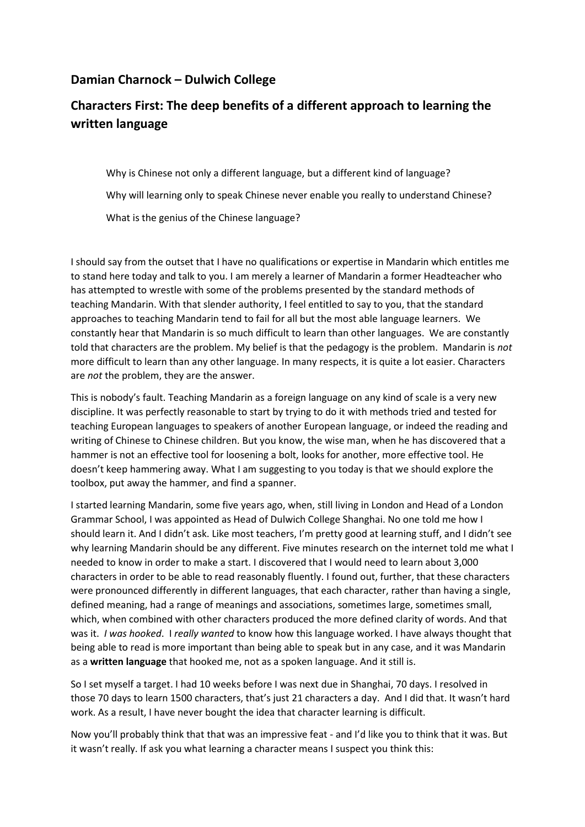### **Damian Charnock – Dulwich College**

## **Characters First: The deep benefits of a different approach to learning the written language**

Why is Chinese not only a different language, but a different kind of language? Why will learning only to speak Chinese never enable you really to understand Chinese? What is the genius of the Chinese language?

I should say from the outset that I have no qualifications or expertise in Mandarin which entitles me to stand here today and talk to you. I am merely a learner of Mandarin a former Headteacher who has attempted to wrestle with some of the problems presented by the standard methods of teaching Mandarin. With that slender authority, I feel entitled to say to you, that the standard approaches to teaching Mandarin tend to fail for all but the most able language learners. We constantly hear that Mandarin is so much difficult to learn than other languages. We are constantly told that characters are the problem. My belief is that the pedagogy is the problem. Mandarin is *not* more difficult to learn than any other language. In many respects, it is quite a lot easier. Characters are *not* the problem, they are the answer.

This is nobody's fault. Teaching Mandarin as a foreign language on any kind of scale is a very new discipline. It was perfectly reasonable to start by trying to do it with methods tried and tested for teaching European languages to speakers of another European language, or indeed the reading and writing of Chinese to Chinese children. But you know, the wise man, when he has discovered that a hammer is not an effective tool for loosening a bolt, looks for another, more effective tool. He doesn't keep hammering away. What I am suggesting to you today is that we should explore the toolbox, put away the hammer, and find a spanner.

I started learning Mandarin, some five years ago, when, still living in London and Head of a London Grammar School, I was appointed as Head of Dulwich College Shanghai. No one told me how I should learn it. And I didn't ask. Like most teachers, I'm pretty good at learning stuff, and I didn't see why learning Mandarin should be any different. Five minutes research on the internet told me what I needed to know in order to make a start. I discovered that I would need to learn about 3,000 characters in order to be able to read reasonably fluently. I found out, further, that these characters were pronounced differently in different languages, that each character, rather than having a single, defined meaning, had a range of meanings and associations, sometimes large, sometimes small, which, when combined with other characters produced the more defined clarity of words. And that was it. *I was hooked*. I *really wanted* to know how this language worked. I have always thought that being able to read is more important than being able to speak but in any case, and it was Mandarin as a **written language** that hooked me, not as a spoken language. And it still is.

So I set myself a target. I had 10 weeks before I was next due in Shanghai, 70 days. I resolved in those 70 days to learn 1500 characters, that's just 21 characters a day. And I did that. It wasn't hard work. As a result, I have never bought the idea that character learning is difficult.

Now you'll probably think that that was an impressive feat - and I'd like you to think that it was. But it wasn't really. If ask you what learning a character means I suspect you think this: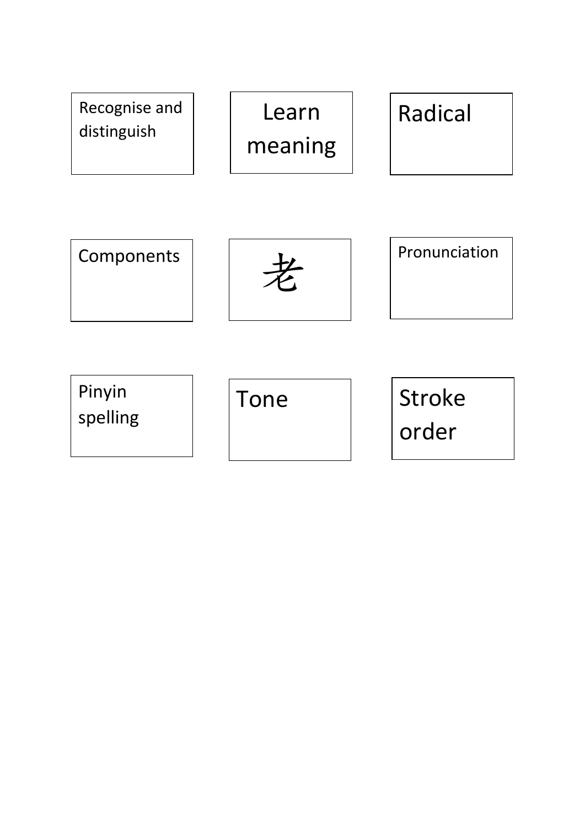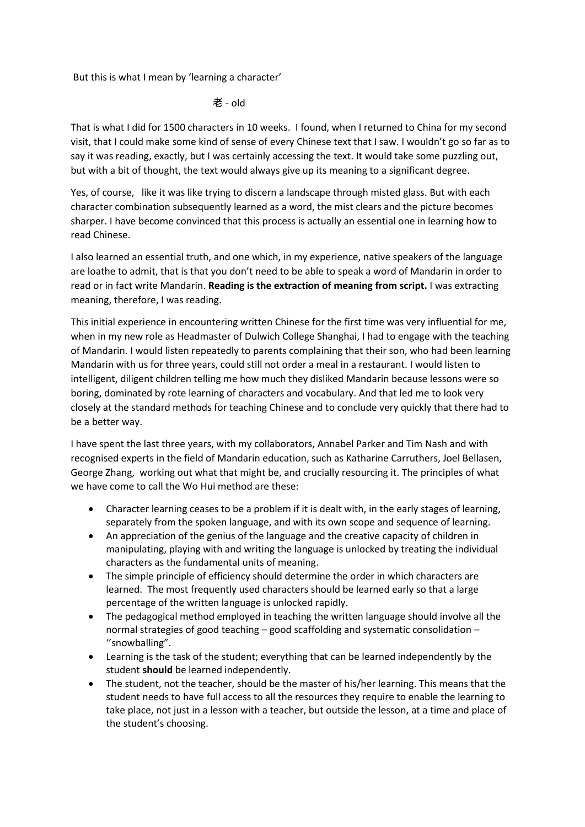But this is what I mean by 'learning a character'

#### 老 - old

That is what I did for 1500 characters in 10 weeks. I found, when I returned to China for my second visit, that I could make some kind of sense of every Chinese text that I saw. I wouldn't go so far as to say it was reading, exactly, but I was certainly accessing the text. It would take some puzzling out, but with a bit of thought, the text would always give up its meaning to a significant degree.

Yes, of course, like it was like trying to discern a landscape through misted glass. But with each character combination subsequently learned as a word, the mist clears and the picture becomes sharper. I have become convinced that this process is actually an essential one in learning how to read Chinese.

I also learned an essential truth, and one which, in my experience, native speakers of the language are loathe to admit, that is that you don't need to be able to speak a word of Mandarin in order to read or in fact write Mandarin. **Reading is the extraction of meaning from script.** I was extracting meaning, therefore, I was reading.

This initial experience in encountering written Chinese for the first time was very influential for me, when in my new role as Headmaster of Dulwich College Shanghai, I had to engage with the teaching of Mandarin. I would listen repeatedly to parents complaining that their son, who had been learning Mandarin with us for three years, could still not order a meal in a restaurant. I would listen to intelligent, diligent children telling me how much they disliked Mandarin because lessons were so boring, dominated by rote learning of characters and vocabulary. And that led me to look very closely at the standard methods for teaching Chinese and to conclude very quickly that there had to be a better way.

I have spent the last three years, with my collaborators, Annabel Parker and Tim Nash and with recognised experts in the field of Mandarin education, such as Katharine Carruthers, Joel Bellasen, George Zhang, working out what that might be, and crucially resourcing it. The principles of what we have come to call the Wo Hui method are these:

- Character learning ceases to be a problem if it is dealt with, in the early stages of learning, separately from the spoken language, and with its own scope and sequence of learning.
- An appreciation of the genius of the language and the creative capacity of children in manipulating, playing with and writing the language is unlocked by treating the individual characters as the fundamental units of meaning.
- The simple principle of efficiency should determine the order in which characters are learned. The most frequently used characters should be learned early so that a large percentage of the written language is unlocked rapidly.
- The pedagogical method employed in teaching the written language should involve all the normal strategies of good teaching – good scaffolding and systematic consolidation – ''snowballing".
- Learning is the task of the student; everything that can be learned independently by the student **should** be learned independently.
- The student, not the teacher, should be the master of his/her learning. This means that the student needs to have full access to all the resources they require to enable the learning to take place, not just in a lesson with a teacher, but outside the lesson, at a time and place of the student's choosing.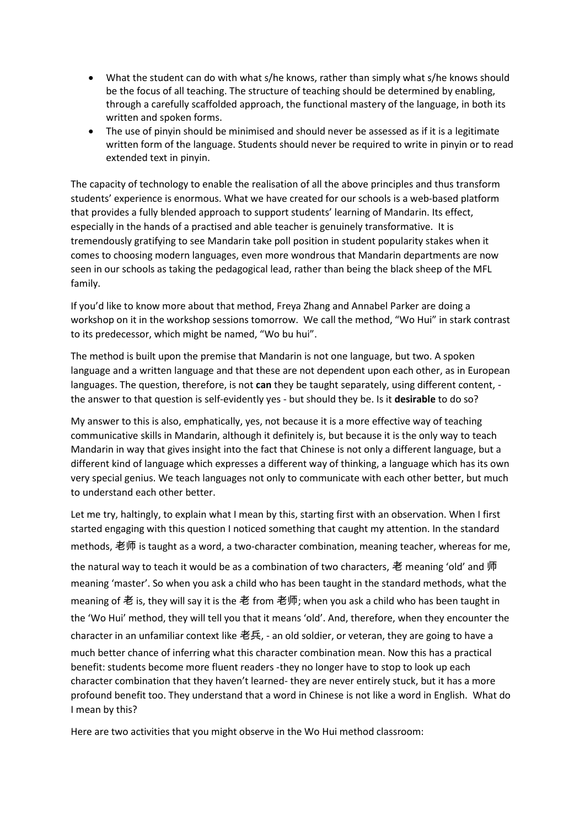- What the student can do with what s/he knows, rather than simply what s/he knows should be the focus of all teaching. The structure of teaching should be determined by enabling, through a carefully scaffolded approach, the functional mastery of the language, in both its written and spoken forms.
- The use of pinyin should be minimised and should never be assessed as if it is a legitimate written form of the language. Students should never be required to write in pinyin or to read extended text in pinyin.

The capacity of technology to enable the realisation of all the above principles and thus transform students' experience is enormous. What we have created for our schools is a web-based platform that provides a fully blended approach to support students' learning of Mandarin. Its effect, especially in the hands of a practised and able teacher is genuinely transformative. It is tremendously gratifying to see Mandarin take poll position in student popularity stakes when it comes to choosing modern languages, even more wondrous that Mandarin departments are now seen in our schools as taking the pedagogical lead, rather than being the black sheep of the MFL family.

If you'd like to know more about that method, Freya Zhang and Annabel Parker are doing a workshop on it in the workshop sessions tomorrow. We call the method, "Wo Hui" in stark contrast to its predecessor, which might be named, "Wo bu hui".

The method is built upon the premise that Mandarin is not one language, but two. A spoken language and a written language and that these are not dependent upon each other, as in European languages. The question, therefore, is not **can** they be taught separately, using different content, the answer to that question is self-evidently yes - but should they be. Is it **desirable** to do so?

My answer to this is also, emphatically, yes, not because it is a more effective way of teaching communicative skills in Mandarin, although it definitely is, but because it is the only way to teach Mandarin in way that gives insight into the fact that Chinese is not only a different language, but a different kind of language which expresses a different way of thinking, a language which has its own very special genius. We teach languages not only to communicate with each other better, but much to understand each other better.

Let me try, haltingly, to explain what I mean by this, starting first with an observation. When I first started engaging with this question I noticed something that caught my attention. In the standard methods, 老师 is taught as a word, a two-character combination, meaning teacher, whereas for me, the natural way to teach it would be as a combination of two characters, 老 meaning 'old' and 师 meaning 'master'. So when you ask a child who has been taught in the standard methods, what the meaning of 老 is, they will say it is the 老 from 老师; when you ask a child who has been taught in the 'Wo Hui' method, they will tell you that it means 'old'. And, therefore, when they encounter the character in an unfamiliar context like 老兵, - an old soldier, or veteran, they are going to have a much better chance of inferring what this character combination mean. Now this has a practical benefit: students become more fluent readers -they no longer have to stop to look up each character combination that they haven't learned- they are never entirely stuck, but it has a more profound benefit too. They understand that a word in Chinese is not like a word in English. What do I mean by this?

Here are two activities that you might observe in the Wo Hui method classroom: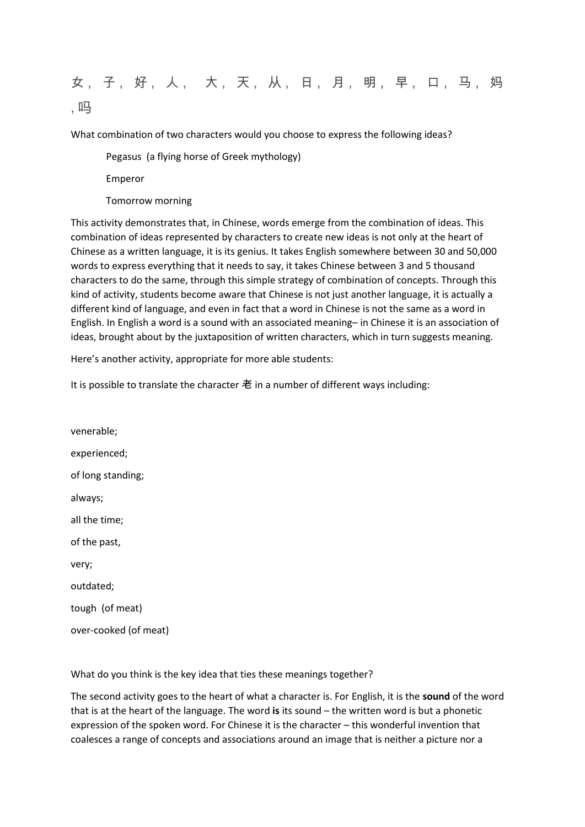# 女, 子, 好, 人, 大, 天, 从, 日, 月, 明, 早, 口, 马, 妈 , 吗

What combination of two characters would you choose to express the following ideas?

Pegasus (a flying horse of Greek mythology)

Emperor

Tomorrow morning

This activity demonstrates that, in Chinese, words emerge from the combination of ideas. This combination of ideas represented by characters to create new ideas is not only at the heart of Chinese as a written language, it is its genius. It takes English somewhere between 30 and 50,000 words to express everything that it needs to say, it takes Chinese between 3 and 5 thousand characters to do the same, through this simple strategy of combination of concepts. Through this kind of activity, students become aware that Chinese is not just another language, it is actually a different kind of language, and even in fact that a word in Chinese is not the same as a word in English. In English a word is a sound with an associated meaning– in Chinese it is an association of ideas, brought about by the juxtaposition of written characters, which in turn suggests meaning.

Here's another activity, appropriate for more able students:

It is possible to translate the character 老 in a number of different ways including:

venerable; experienced; of long standing; always; all the time; of the past, very; outdated; tough (of meat) over-cooked (of meat)

What do you think is the key idea that ties these meanings together?

The second activity goes to the heart of what a character is. For English, it is the **sound** of the word that is at the heart of the language. The word **is** its sound – the written word is but a phonetic expression of the spoken word. For Chinese it is the character – this wonderful invention that coalesces a range of concepts and associations around an image that is neither a picture nor a